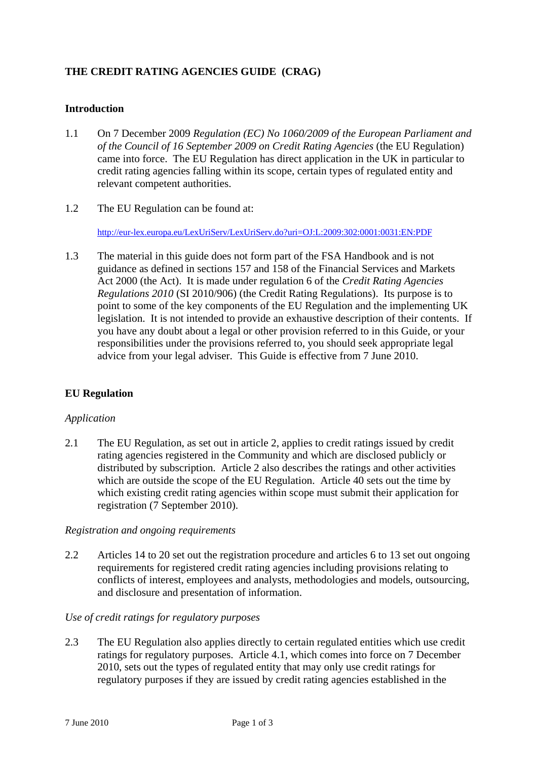# **THE CREDIT RATING AGENCIES GUIDE (CRAG)**

### **Introduction**

- 1.1 On 7 December 2009 *Regulation (EC) No 1060/2009 of the European Parliament and of the Council of 16 September 2009 on Credit Rating Agencies* (the EU Regulation) came into force. The EU Regulation has direct application in the UK in particular to credit rating agencies falling within its scope, certain types of regulated entity and relevant competent authorities.
- 1.2 The EU Regulation can be found at:

http://eur-lex.europa.eu/LexUriServ/LexUriServ.do?uri=OJ:L:2009:302:0001:0031:EN:PDF

1.3 The material in this guide does not form part of the FSA Handbook and is not guidance as defined in sections 157 and 158 of the Financial Services and Markets Act 2000 (the Act). It is made under regulation 6 of the *Credit Rating Agencies Regulations 2010* (SI 2010/906) (the Credit Rating Regulations). Its purpose is to point to some of the key components of the EU Regulation and the implementing UK legislation. It is not intended to provide an exhaustive description of their contents. If you have any doubt about a legal or other provision referred to in this Guide, or your responsibilities under the provisions referred to, you should seek appropriate legal advice from your legal adviser. This Guide is effective from 7 June 2010.

# **EU Regulation**

#### *Application*

2.1 The EU Regulation, as set out in article 2, applies to credit ratings issued by credit rating agencies registered in the Community and which are disclosed publicly or distributed by subscription. Article 2 also describes the ratings and other activities which are outside the scope of the EU Regulation. Article 40 sets out the time by which existing credit rating agencies within scope must submit their application for registration (7 September 2010).

#### *Registration and ongoing requirements*

2.2 Articles 14 to 20 set out the registration procedure and articles 6 to 13 set out ongoing requirements for registered credit rating agencies including provisions relating to conflicts of interest, employees and analysts, methodologies and models, outsourcing, and disclosure and presentation of information.

#### *Use of credit ratings for regulatory purposes*

2.3 The EU Regulation also applies directly to certain regulated entities which use credit ratings for regulatory purposes. Article 4.1, which comes into force on 7 December 2010, sets out the types of regulated entity that may only use credit ratings for regulatory purposes if they are issued by credit rating agencies established in the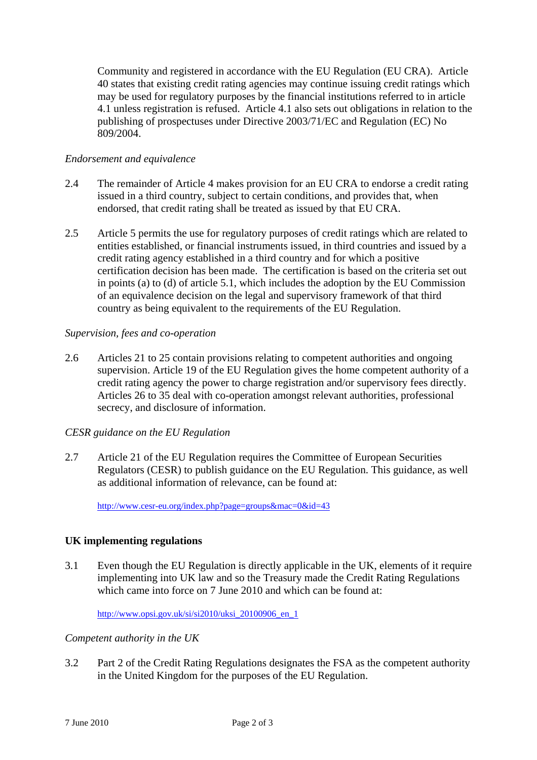Community and registered in accordance with the EU Regulation (EU CRA). Article 40 states that existing credit rating agencies may continue issuing credit ratings which may be used for regulatory purposes by the financial institutions referred to in article 4.1 unless registration is refused. Article 4.1 also sets out obligations in relation to the publishing of prospectuses under Directive 2003/71/EC and Regulation (EC) No 809/2004.

### *Endorsement and equivalence*

- 2.4 The remainder of Article 4 makes provision for an EU CRA to endorse a credit rating issued in a third country, subject to certain conditions, and provides that, when endorsed, that credit rating shall be treated as issued by that EU CRA.
- 2.5 Article 5 permits the use for regulatory purposes of credit ratings which are related to entities established, or financial instruments issued, in third countries and issued by a credit rating agency established in a third country and for which a positive certification decision has been made. The certification is based on the criteria set out in points (a) to (d) of article 5.1, which includes the adoption by the EU Commission of an equivalence decision on the legal and supervisory framework of that third country as being equivalent to the requirements of the EU Regulation.

### *Supervision, fees and co-operation*

2.6 Articles 21 to 25 contain provisions relating to competent authorities and ongoing supervision. Article 19 of the EU Regulation gives the home competent authority of a credit rating agency the power to charge registration and/or supervisory fees directly. Articles 26 to 35 deal with co-operation amongst relevant authorities, professional secrecy, and disclosure of information.

#### *CESR guidance on the EU Regulation*

2.7 Article 21 of the EU Regulation requires the Committee of European Securities Regulators (CESR) to publish guidance on the EU Regulation. This guidance, as well as additional information of relevance, can be found at:

http://www.cesr-eu.org/index.php?page=groups&mac=0&id=43

# **UK implementing regulations**

3.1 Even though the EU Regulation is directly applicable in the UK, elements of it require implementing into UK law and so the Treasury made the Credit Rating Regulations which came into force on 7 June 2010 and which can be found at:

http://www.opsi.gov.uk/si/si2010/uksi\_20100906\_en\_1

*Competent authority in the UK* 

3.2 Part 2 of the Credit Rating Regulations designates the FSA as the competent authority in the United Kingdom for the purposes of the EU Regulation.